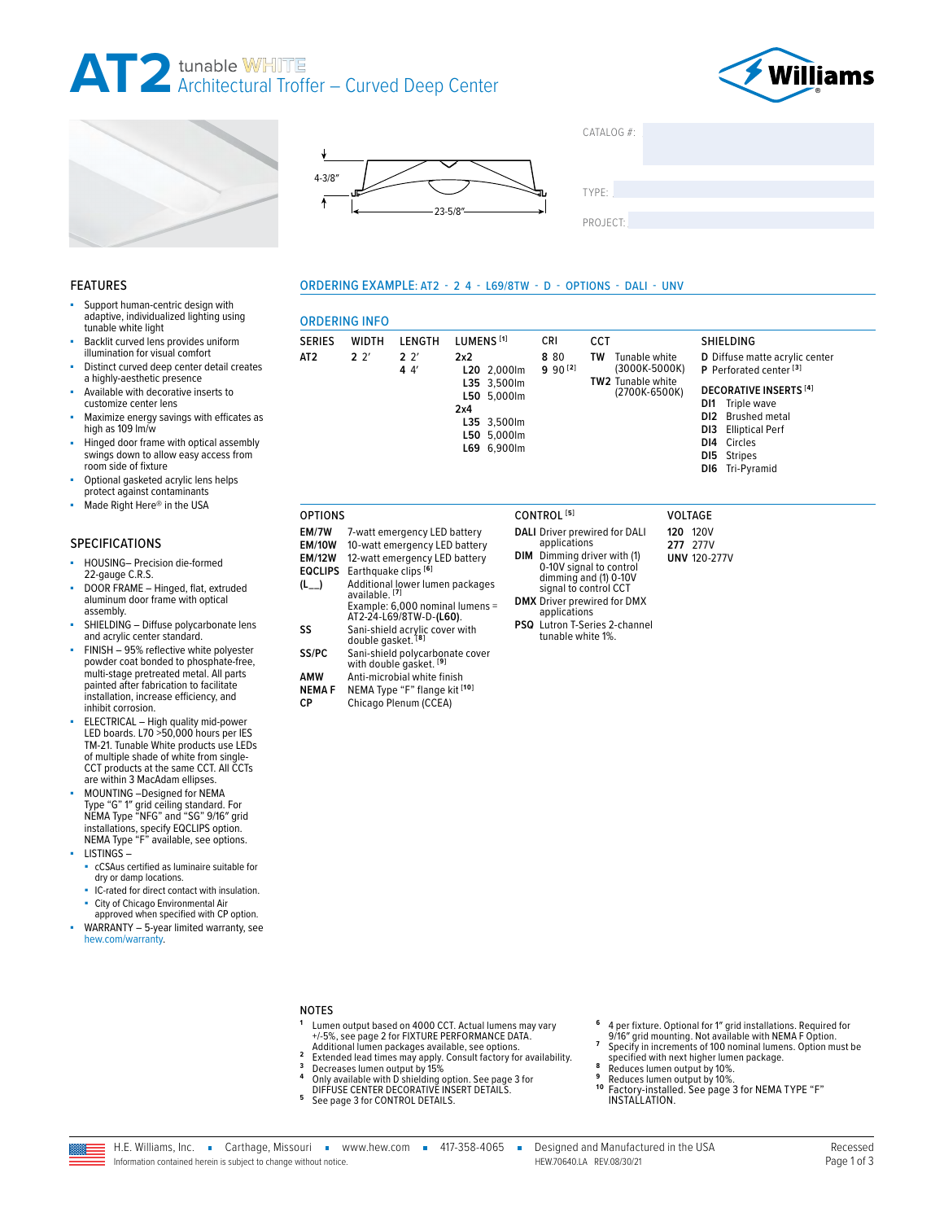









PROJECT:

#### ORDERING EXAMPLE: AT2 - 2 4 - L69/8TW - D - OPTIONS - DALI - UNV

### ORDERING INFO

|                 | URDERING INFU                                                |                                                            |                                                                                                      |                                                  |                                                           |                                      |                                                    |                                                                                                                                              |                                                                      |                  |
|-----------------|--------------------------------------------------------------|------------------------------------------------------------|------------------------------------------------------------------------------------------------------|--------------------------------------------------|-----------------------------------------------------------|--------------------------------------|----------------------------------------------------|----------------------------------------------------------------------------------------------------------------------------------------------|----------------------------------------------------------------------|------------------|
| <b>SERIES</b>   | <b>WIDTH</b>                                                 | LENGTH                                                     | LUMENS <sup>[1]</sup>                                                                                |                                                  | <b>CRI</b>                                                | <b>CCT</b>                           |                                                    |                                                                                                                                              |                                                                      | <b>SHIELDING</b> |
| AT <sub>2</sub> | 2 <sup>2</sup>                                               | 2.2'<br>44'                                                | 2x2<br>L20 2,000lm<br>L35 3,500lm<br>L50 5,000lm<br>2x4<br>L35 3,500lm<br>L50 5,000lm<br>L69 6,900lm |                                                  | 8 80<br>$9.90^{[2]}$                                      | Tunable white<br>TW<br>(3000K-5000K) |                                                    |                                                                                                                                              | D Diffuse matte acrylic center<br>P Perforated center <sup>[3]</sup> |                  |
|                 |                                                              |                                                            |                                                                                                      |                                                  | <b>TW2</b> Tunable white<br>(2700K-6500K)                 |                                      | DI1<br>DI3                                         | <b>DECORATIVE INSERTS [4]</b><br>Triple wave<br>DI2 Brushed metal<br><b>Elliptical Perf</b><br>DI4 Circles<br>DI5 Stripes<br>DI6 Tri-Pyramid |                                                                      |                  |
| <b>OPTIONS</b>  |                                                              |                                                            |                                                                                                      |                                                  | CONTROL <sup>[5]</sup>                                    |                                      |                                                    | <b>VOLTAGE</b>                                                                                                                               |                                                                      |                  |
| EM/7W           |                                                              | 7-watt emergency LED battery                               |                                                                                                      |                                                  | DALI Driver prewired for DALI                             |                                      |                                                    | <b>120 120V</b>                                                                                                                              |                                                                      |                  |
| <b>EM/10W</b>   |                                                              | 10-watt emergency LED battery                              |                                                                                                      |                                                  | applications                                              |                                      |                                                    | 277 277V                                                                                                                                     |                                                                      |                  |
| <b>EM/12W</b>   |                                                              | 12-watt emergency LED battery                              |                                                                                                      |                                                  |                                                           |                                      | DIM Dimming driver with (1)<br><b>UNV 120-277V</b> |                                                                                                                                              |                                                                      |                  |
| <b>EQCLIPS</b>  | Earthquake clips [6]                                         |                                                            |                                                                                                      | 0-10V signal to control<br>dimming and (1) 0-10V |                                                           |                                      |                                                    |                                                                                                                                              |                                                                      |                  |
| $(L_{--})$      | Additional lower lumen packages<br>available. <sup>[7]</sup> |                                                            |                                                                                                      | signal to control CCT                            |                                                           |                                      |                                                    |                                                                                                                                              |                                                                      |                  |
|                 |                                                              | Example: 6,000 nominal lumens =<br>AT2-24-L69/8TW-D-(L60). |                                                                                                      |                                                  | DMX Driver prewired for DMX<br>applications               |                                      |                                                    |                                                                                                                                              |                                                                      |                  |
| SS              | double gasket. <sup>[8]</sup>                                | Sani-shield acrylic cover with                             |                                                                                                      |                                                  | <b>PSQ</b> Lutron T-Series 2-channel<br>tunable white 1%. |                                      |                                                    |                                                                                                                                              |                                                                      |                  |
| SS/PC           |                                                              | Sani-shield polycarbonate cover<br>with double gasket. [9] |                                                                                                      |                                                  |                                                           |                                      |                                                    |                                                                                                                                              |                                                                      |                  |
| <b>AMW</b>      |                                                              | Anti-microbial white finish                                |                                                                                                      |                                                  |                                                           |                                      |                                                    |                                                                                                                                              |                                                                      |                  |

## FEATURES

- Support human-centric design with adaptive, individualized lighting using tunable white light
- Backlit curved lens provides uniform illumination for visual comfort
- Distinct curved deep center detail creates a highly-aesthetic presence
- Available with decorative inserts to customize center lens
- Maximize energy savings with efficates as high as 109 lm/w
- Hinged door frame with optical assembly swings down to allow easy access from room side of fixture
- Optional gasketed acrylic lens helps
- protect against contaminants Made Right Here® in the USA

#### SPECIFICATIONS

- HOUSING- Precision die-formed 22-gauge C.R.S.
- DOOR FRAME Hinged, flat, extruded aluminum door frame with optical assembly.
- SHIELDING Diffuse polycarbonate lens and acrylic center standard.
- FINISH 95% reflective white polyester powder coat bonded to phosphate-free, multi-stage pretreated metal. All parts painted after fabrication to facilitate installation, increase efficiency, and inhibit corrosion.
- ELECTRICAL High quality mid-power LED boards. L70 >50,000 hours per IES TM-21. Tunable White products use LEDs of multiple shade of white from single-CCT products at the same CCT. All CCTs are within 3 MacAdam ellipses.
- MOUNTING -Designed for NEMA Type "G" 1″ grid ceiling standard. For NEMA Type "NFG" and "SG" 9/16″ grid installations, specify EQCLIPS option. NEMA Type "F" available, see options. LISTINGS –
	- cCSAus certified as luminaire suitable for dry or damp locations.
	- IC-rated for direct contact with insulation.
	- City of Chicago Environmental Air
- approved when specified with CP option. WARRANTY - 5-year limited warranty, see
- [hew.com/warranty.](https://www.hew.com/resources/warranty-and-terms)

## NOTES

- 1 Lumen output based on 4000 CCT. Actual lumens may vary<br>
+/-5%, [see page 2 for FIXTURE PERFORMANCE DATA](#page-1-0).<br>
Additional lumen packages available, see options.<br>
2 Extended lead times may apply. Consult factory for availabilit
- 
- 
- [DIFFUSE CENTER DECORATIVE INSERT DETAILS.](#page-2-0) **<sup>5</sup>** [See page 3 for CONTROL DETAILS.](#page-2-1)
- 

**NEMA F** NEMA Type "F" flange kit **[10] CP** Chicago Plenum (CCEA)

**<sup>6</sup>** 4 per fixture. Optional for 1″ grid installations. Required for 9/16″ grid mounting. Not available with NEMA F Option. Specify in increments of 100 nominal lumens. Option must be specified with next higher lumen package.

specified with next higher lumen package.<br> **9** Reduces lumen output by 10%.<br> **9** Reduces lumen output by 10%.<br> **10** Factory-installed. See page 3 for NEMA TYPE "F"<br> [INSTALLATION.](#page-2-2)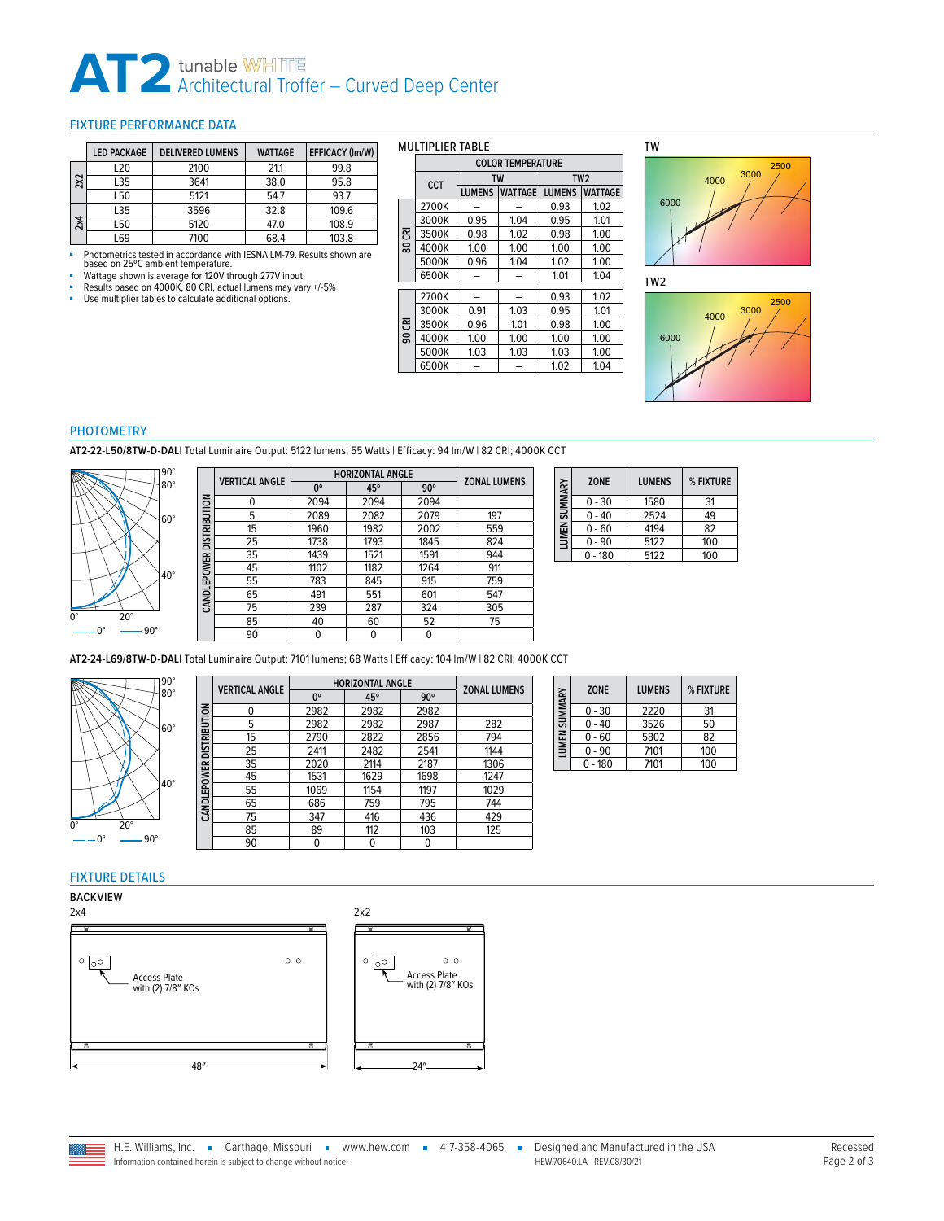# **AT2** tunable WHITE<br>Architectural Troffer – Curved Deep Center

#### <span id="page-1-0"></span>FIXTURE PERFORMANCE DATA

|     | <b>LED PACKAGE</b> | <b>DELIVERED LUMENS</b> | <b>WATTAGE</b> | EFFICACY (Im/W) |
|-----|--------------------|-------------------------|----------------|-----------------|
|     | L20                | 2100                    | 21.1           | 99.8            |
| 2x2 | L35                | 3641                    | 38.0           | 95.8            |
|     | L50                | 5121                    | 54.7           | 93.7            |
|     | L35                | 3596                    | 32.8           | 109.6           |
| 2x4 | L50                | 5120                    | 47.0           | 108.9           |
|     | L69                | 7100                    | 68.4           | 103.8           |

• Photometrics tested in accordance with IESNA LM-79. Results shown are<br>based on 25°C ambient temperature.<br>• Watage shown is average for 120V through 277V input.<br>• Results based on 4000K, 80 CRI, actual lumens may vary +/-

#### MULTIPLIER TABLE

|     |            | <b>COLOR TEMPERATURE</b>        |           |                 |                |  |
|-----|------------|---------------------------------|-----------|-----------------|----------------|--|
|     | <b>CCT</b> |                                 | <b>TW</b> | TW <sub>2</sub> |                |  |
|     |            | <b>WATTAGE</b><br><b>LUMENS</b> |           | <b>LUMENS</b>   | <b>WATTAGE</b> |  |
|     | 2700K      |                                 |           | 0.93            | 1.02           |  |
|     | 3000K      | 0.95                            | 1.04      | 0.95            | 1.01           |  |
| కె  | 3500K      | 0.98                            | 1.02      | 0.98            | 1.00           |  |
| ខ្ល | 4000K      | 1.00                            | 1.00      | 1.00            | 1.00           |  |
|     | 5000K      | 0.96                            | 1.04      | 1.02            | 1.00           |  |
|     | 6500K      |                                 |           | 1.01            | 1.04           |  |
|     | 2700K      |                                 |           | 0.93            | 1.02           |  |
|     | 3000K      | 0.91                            | 1.03      | 0.95            | 1.01           |  |
|     |            |                                 |           |                 |                |  |
| కె  | 3500K      | 0.96                            | 1.01      | 0.98            | 1.00           |  |
| ន្ត | 4000K      | 1.00                            | 1.00      | 1.00            | 1.00           |  |
|     | 5000K      | 1.03                            | 1.03      | 1.03            | 1.00           |  |
|     | 6500K      |                                 |           | 1.02            | 1.04           |  |
|     |            |                                 |           |                 |                |  |



TW2



#### PHOTOMETRY

**AT2-22-L50/8TW-D-DALI** Total Luminaire Output: 5122 lumens; 55 Watts | Efficacy: 94 lm/W | 82 CRI; 4000K CCT



|                     | <b>VERTICAL ANGLE</b> | <b>HORIZONTAL ANGLE</b> |      |            | <b>ZONAL LUMENS</b> |
|---------------------|-----------------------|-------------------------|------|------------|---------------------|
|                     |                       | 0°                      | 45°  | $90^\circ$ |                     |
|                     | 0                     | 2094                    | 2094 | 2094       |                     |
|                     | 5                     | 2089                    | 2082 | 2079       | 197                 |
| <b>DISTRIBUTION</b> | 15                    | 1960                    | 1982 | 2002       | 559                 |
|                     | 25                    | 1738                    | 1793 | 1845       | 824                 |
|                     | 35                    | 1439                    | 1521 | 1591       | 944                 |
|                     | 45                    | 1102                    | 1182 | 1264       | 911                 |
| CANDLEPOWER         | 55                    | 783                     | 845  | 915        | 759                 |
|                     | 65                    | 491                     | 551  | 601        | 547                 |
|                     | 75                    | 239                     | 287  | 324        | 305                 |
|                     | 85                    | 40                      | 60   | 52         | 75                  |
|                     | 90                    | 0                       | 0    | 0          |                     |

| SUMMARY | <b>ZONE</b> | <b>LUMENS</b> | % FIXTURE |
|---------|-------------|---------------|-----------|
|         | $0 - 30$    | 1580          | 31        |
|         | $0 - 40$    | 2524          | 49        |
| LUMEN ! | $0 - 60$    | 4194          | 82        |
|         | $0 - 90$    | 5122          | 100       |
|         | $0 - 180$   | 5122          | 100       |

**AT2-24-L69/8TW-D-DALI** Total Luminaire Output: 7101 lumens; 68 Watts | Efficacy: 104 lm/W | 82 CRI; 4000K CCT



|                          | <b>VERTICAL ANGLE</b> | <b>HORIZONTAL ANGLE</b> |      |            |                     |
|--------------------------|-----------------------|-------------------------|------|------------|---------------------|
|                          |                       | 0°                      | 45°  | $90^\circ$ | <b>ZONAL LUMENS</b> |
|                          | U                     | 2982                    | 2982 | 2982       |                     |
|                          | 5                     | 2982                    | 2982 | 2987       | 282                 |
| CANDLEPOWER DISTRIBUTION | 15                    | 2790                    | 2822 | 2856       | 794                 |
|                          | 25                    | 2411                    | 2482 | 2541       | 1144                |
|                          | 35                    | 2020                    | 2114 | 2187       | 1306                |
|                          | 45                    | 1531                    | 1629 | 1698       | 1247                |
|                          | 55                    | 1069                    | 1154 | 1197       | 1029                |
|                          | 65                    | 686                     | 759  | 795        | 744                 |
|                          | 75                    | 347                     | 416  | 436        | 429                 |
|                          | 85                    | 89                      | 112  | 103        | 125                 |
|                          | 90                    | 0                       | 0    | 0          |                     |

| LUMEN SUMMARY | <b>ZONE</b> | <b>LUMENS</b> | % FIXTURE |
|---------------|-------------|---------------|-----------|
|               | $0 - 30$    | 2220          | 31        |
|               | $0 - 40$    | 3526          | 50        |
|               | $0 - 60$    | 5802          | 82        |
|               | $0 - 90$    | 7101          | 100       |
|               | $0 - 180$   | 7101          | 100       |

#### FIXTURE DETAILS

BACKVIEW